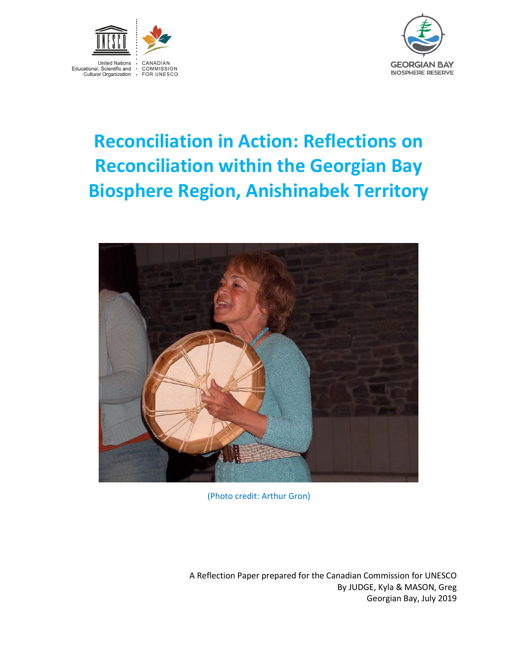



# **Reconciliation in Action: Reflections on Reconciliation within the Georgian Bay Biosphere Region, Anishinabek Territory**



(Photo credit: Arthur Gron)

A Reflection Paper prepared for the Canadian Commission for UNESCO By JUDGE, Kyla & MASON, Greg Georgian Bay, July 2019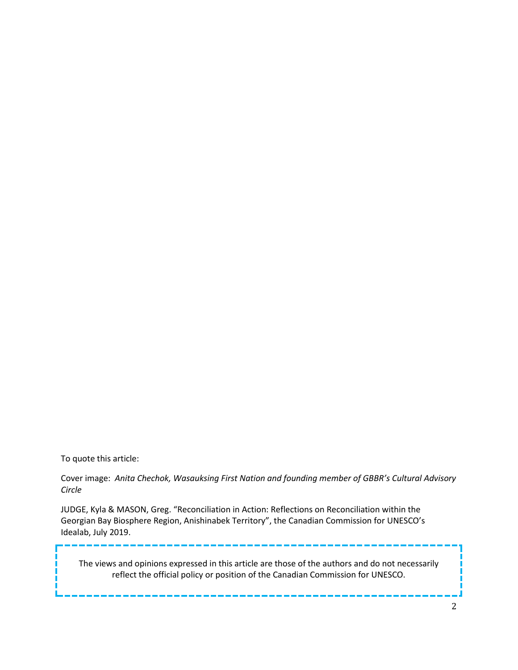To quote this article:

Cover image: *Anita Chechok, Wasauksing First Nation and founding member of GBBR's Cultural Advisory Circle*

JUDGE, Kyla & MASON, Greg. "Reconciliation in Action: Reflections on Reconciliation within the Georgian Bay Biosphere Region, Anishinabek Territory", the Canadian Commission for UNESCO's Idealab, July 2019.

The views and opinions expressed in this article are those of the authors and do not necessarily reflect the official policy or position of the Canadian Commission for UNESCO.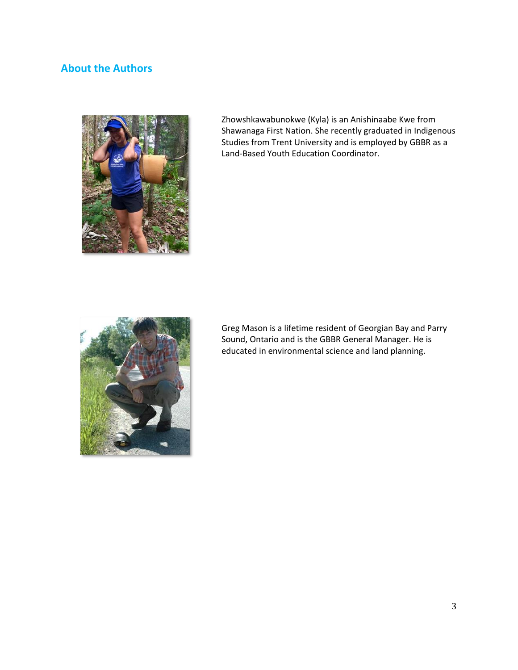# **About the Authors**



Zhowshkawabunokwe (Kyla) is an Anishinaabe Kwe from Shawanaga First Nation. She recently graduated in Indigenous Studies from Trent University and is employed by GBBR as a Land-Based Youth Education Coordinator.



Greg Mason is a lifetime resident of Georgian Bay and Parry Sound, Ontario and is the GBBR General Manager. He is educated in environmental science and land planning.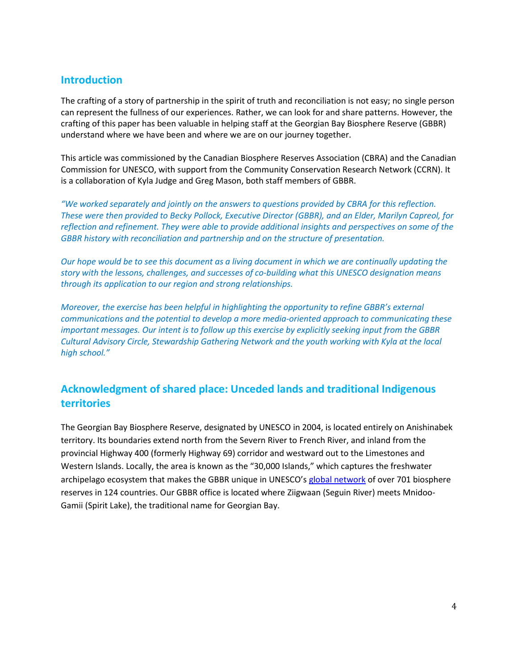## **Introduction**

The crafting of a story of partnership in the spirit of truth and reconciliation is not easy; no single person can represent the fullness of our experiences. Rather, we can look for and share patterns. However, the crafting of this paper has been valuable in helping staff at the Georgian Bay Biosphere Reserve (GBBR) understand where we have been and where we are on our journey together.

This article was commissioned by the Canadian Biosphere Reserves Association (CBRA) and the Canadian Commission for UNESCO, with support from the Community Conservation Research Network (CCRN). It is a collaboration of Kyla Judge and Greg Mason, both staff members of GBBR.

*"We worked separately and jointly on the answers to questions provided by CBRA for this reflection. These were then provided to Becky Pollock, Executive Director (GBBR), and an Elder, Marilyn Capreol, for reflection and refinement. They were able to provide additional insights and perspectives on some of the GBBR history with reconciliation and partnership and on the structure of presentation.*

*Our hope would be to see this document as a living document in which we are continually updating the story with the lessons, challenges, and successes of co-building what this UNESCO designation means through its application to our region and strong relationships.*

*Moreover, the exercise has been helpful in highlighting the opportunity to refine GBBR's external communications and the potential to develop a more media-oriented approach to communicating these important messages. Our intent is to follow up this exercise by explicitly seeking input from the GBBR Cultural Advisory Circle, Stewardship Gathering Network and the youth working with Kyla at the local high school."*

# **Acknowledgment of shared place: Unceded lands and traditional Indigenous territories**

The Georgian Bay Biosphere Reserve, designated by UNESCO in 2004, is located entirely on Anishinabek territory. Its boundaries extend north from the Severn River to French River, and inland from the provincial Highway 400 (formerly Highway 69) corridor and westward out to the Limestones and Western Islands. Locally, the area is known as the "30,000 Islands," which captures the freshwater archipelago ecosystem that makes the GBBR unique in UNESCO's [global network](http://www.unesco.org/new/en/natural-sciences/environment/ecological-sciences/biosphere-reserves/) of over 701 biosphere reserves in 124 countries. Our GBBR office is located where Ziigwaan (Seguin River) meets Mnidoo-Gamii (Spirit Lake), the traditional name for Georgian Bay.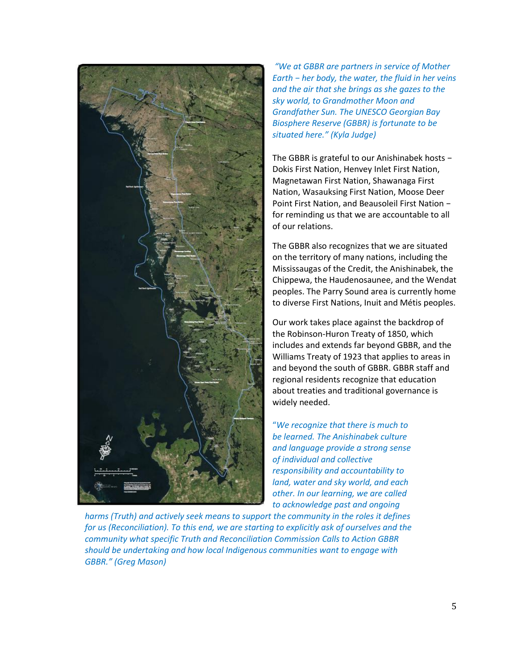

*"We at GBBR are partners in service of Mother Earth − her body, the water, the fluid in her veins and the air that she brings as she gazes to the sky world, to Grandmother Moon and Grandfather Sun. The UNESCO Georgian Bay Biosphere Reserve (GBBR) is fortunate to be situated here." (Kyla Judge)*

The GBBR is grateful to our Anishinabek hosts − Dokis First Nation, Henvey Inlet First Nation, Magnetawan First Nation, Shawanaga First Nation, Wasauksing First Nation, Moose Deer Point First Nation, and Beausoleil First Nation − for reminding us that we are accountable to all of our relations.

The GBBR also recognizes that we are situated on the territory of many nations, including the Mississaugas of the Credit, the Anishinabek, the Chippewa, the Haudenosaunee, and the Wendat peoples. The Parry Sound area is currently home to diverse First Nations, Inuit and Métis peoples.

Our work takes place against the backdrop of the Robinson-Huron Treaty of 1850, which includes and extends far beyond GBBR, and the Williams Treaty of 1923 that applies to areas in and beyond the south of GBBR. GBBR staff and regional residents recognize that education about treaties and traditional governance is widely needed.

"*We recognize that there is much to be learned. The Anishinabek culture and language provide a strong sense of individual and collective responsibility and accountability to land, water and sky world, and each other. In our learning, we are called to acknowledge past and ongoing* 

*harms (Truth) and actively seek means to support the community in the roles it defines for us (Reconciliation). To this end, we are starting to explicitly ask of ourselves and the community what specific Truth and Reconciliation Commission Calls to Action GBBR should be undertaking and how local Indigenous communities want to engage with GBBR." (Greg Mason)*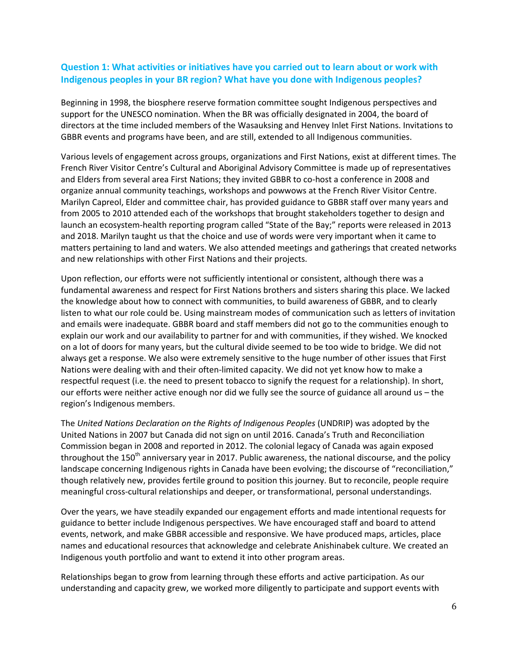## **Question 1: What activities or initiatives have you carried out to learn about or work with Indigenous peoples in your BR region? What have you done with Indigenous peoples?**

Beginning in 1998, the biosphere reserve formation committee sought Indigenous perspectives and support for the UNESCO nomination. When the BR was officially designated in 2004, the board of directors at the time included members of the Wasauksing and Henvey Inlet First Nations. Invitations to GBBR events and programs have been, and are still, extended to all Indigenous communities.

Various levels of engagement across groups, organizations and First Nations, exist at different times. The French River Visitor Centre's Cultural and Aboriginal Advisory Committee is made up of representatives and Elders from several area First Nations; they invited GBBR to co-host a conference in 2008 and organize annual community teachings, workshops and powwows at the French River Visitor Centre. Marilyn Capreol, Elder and committee chair, has provided guidance to GBBR staff over many years and from 2005 to 2010 attended each of the workshops that brought stakeholders together to design and launch an ecosystem-health reporting program called "State of the Bay;" reports were released in 2013 and 2018. Marilyn taught us that the choice and use of words were very important when it came to matters pertaining to land and waters. We also attended meetings and gatherings that created networks and new relationships with other First Nations and their projects.

Upon reflection, our efforts were not sufficiently intentional or consistent, although there was a fundamental awareness and respect for First Nations brothers and sisters sharing this place. We lacked the knowledge about how to connect with communities, to build awareness of GBBR, and to clearly listen to what our role could be. Using mainstream modes of communication such as letters of invitation and emails were inadequate. GBBR board and staff members did not go to the communities enough to explain our work and our availability to partner for and with communities, if they wished. We knocked on a lot of doors for many years, but the cultural divide seemed to be too wide to bridge. We did not always get a response. We also were extremely sensitive to the huge number of other issues that First Nations were dealing with and their often-limited capacity. We did not yet know how to make a respectful request (i.e. the need to present tobacco to signify the request for a relationship). In short, our efforts were neither active enough nor did we fully see the source of guidance all around us – the region's Indigenous members.

The *United Nations Declaration on the Rights of Indigenous Peoples* (UNDRIP) was adopted by the United Nations in 2007 but Canada did not sign on until 2016. Canada's Truth and Reconciliation Commission began in 2008 and reported in 2012. The colonial legacy of Canada was again exposed throughout the  $150<sup>th</sup>$  anniversary year in 2017. Public awareness, the national discourse, and the policy landscape concerning Indigenous rights in Canada have been evolving; the discourse of "reconciliation," though relatively new, provides fertile ground to position this journey. But to reconcile, people require meaningful cross-cultural relationships and deeper, or transformational, personal understandings.

Over the years, we have steadily expanded our engagement efforts and made intentional requests for guidance to better include Indigenous perspectives. We have encouraged staff and board to attend events, network, and make GBBR accessible and responsive. We have produced maps, articles, place names and educational resources that acknowledge and celebrate Anishinabek culture. We created an Indigenous youth portfolio and want to extend it into other program areas.

Relationships began to grow from learning through these efforts and active participation. As our understanding and capacity grew, we worked more diligently to participate and support events with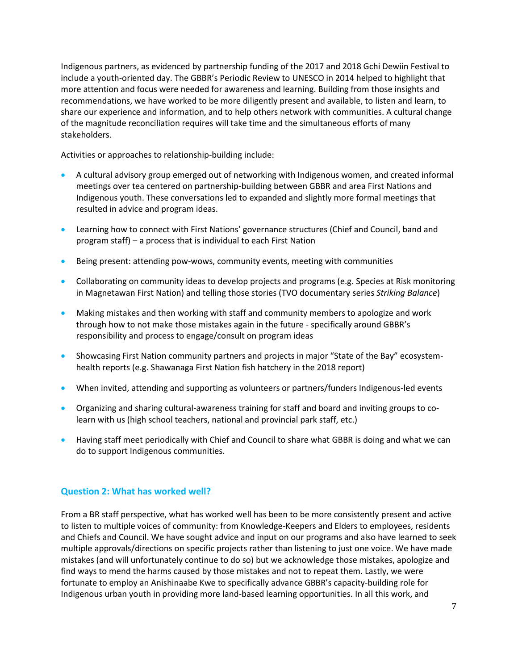Indigenous partners, as evidenced by partnership funding of the 2017 and 2018 Gchi Dewiin Festival to include a youth-oriented day. The GBBR's Periodic Review to UNESCO in 2014 helped to highlight that more attention and focus were needed for awareness and learning. Building from those insights and recommendations, we have worked to be more diligently present and available, to listen and learn, to share our experience and information, and to help others network with communities. A cultural change of the magnitude reconciliation requires will take time and the simultaneous efforts of many stakeholders.

Activities or approaches to relationship-building include:

- A cultural advisory group emerged out of networking with Indigenous women, and created informal meetings over tea centered on partnership-building between GBBR and area First Nations and Indigenous youth. These conversations led to expanded and slightly more formal meetings that resulted in advice and program ideas.
- Learning how to connect with First Nations' governance structures (Chief and Council, band and program staff) – a process that is individual to each First Nation
- Being present: attending pow-wows, community events, meeting with communities
- Collaborating on community ideas to develop projects and programs (e.g. Species at Risk monitoring in Magnetawan First Nation) and telling those stories (TVO documentary series *Striking Balance*)
- Making mistakes and then working with staff and community members to apologize and work through how to not make those mistakes again in the future - specifically around GBBR's responsibility and process to engage/consult on program ideas
- Showcasing First Nation community partners and projects in major "State of the Bay" ecosystemhealth reports (e.g. Shawanaga First Nation fish hatchery in the 2018 report)
- When invited, attending and supporting as volunteers or partners/funders Indigenous-led events
- Organizing and sharing cultural-awareness training for staff and board and inviting groups to colearn with us (high school teachers, national and provincial park staff, etc.)
- Having staff meet periodically with Chief and Council to share what GBBR is doing and what we can do to support Indigenous communities.

#### **Question 2: What has worked well?**

From a BR staff perspective, what has worked well has been to be more consistently present and active to listen to multiple voices of community: from Knowledge-Keepers and Elders to employees, residents and Chiefs and Council. We have sought advice and input on our programs and also have learned to seek multiple approvals/directions on specific projects rather than listening to just one voice. We have made mistakes (and will unfortunately continue to do so) but we acknowledge those mistakes, apologize and find ways to mend the harms caused by those mistakes and not to repeat them. Lastly, we were fortunate to employ an Anishinaabe Kwe to specifically advance GBBR's capacity-building role for Indigenous urban youth in providing more land-based learning opportunities. In all this work, and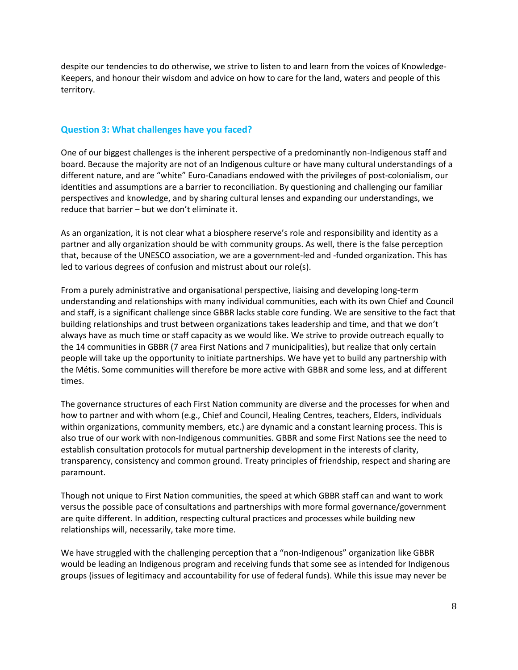despite our tendencies to do otherwise, we strive to listen to and learn from the voices of Knowledge-Keepers, and honour their wisdom and advice on how to care for the land, waters and people of this territory.

#### **Question 3: What challenges have you faced?**

One of our biggest challenges is the inherent perspective of a predominantly non-Indigenous staff and board. Because the majority are not of an Indigenous culture or have many cultural understandings of a different nature, and are "white" Euro-Canadians endowed with the privileges of post-colonialism, our identities and assumptions are a barrier to reconciliation. By questioning and challenging our familiar perspectives and knowledge, and by sharing cultural lenses and expanding our understandings, we reduce that barrier – but we don't eliminate it.

As an organization, it is not clear what a biosphere reserve's role and responsibility and identity as a partner and ally organization should be with community groups. As well, there is the false perception that, because of the UNESCO association, we are a government-led and -funded organization. This has led to various degrees of confusion and mistrust about our role(s).

From a purely administrative and organisational perspective, liaising and developing long-term understanding and relationships with many individual communities, each with its own Chief and Council and staff, is a significant challenge since GBBR lacks stable core funding. We are sensitive to the fact that building relationships and trust between organizations takes leadership and time, and that we don't always have as much time or staff capacity as we would like. We strive to provide outreach equally to the 14 communities in GBBR (7 area First Nations and 7 municipalities), but realize that only certain people will take up the opportunity to initiate partnerships. We have yet to build any partnership with the Métis. Some communities will therefore be more active with GBBR and some less, and at different times.

The governance structures of each First Nation community are diverse and the processes for when and how to partner and with whom (e.g., Chief and Council, Healing Centres, teachers, Elders, individuals within organizations, community members, etc.) are dynamic and a constant learning process. This is also true of our work with non-Indigenous communities. GBBR and some First Nations see the need to establish consultation protocols for mutual partnership development in the interests of clarity, transparency, consistency and common ground. Treaty principles of friendship, respect and sharing are paramount.

Though not unique to First Nation communities, the speed at which GBBR staff can and want to work versus the possible pace of consultations and partnerships with more formal governance/government are quite different. In addition, respecting cultural practices and processes while building new relationships will, necessarily, take more time.

We have struggled with the challenging perception that a "non-Indigenous" organization like GBBR would be leading an Indigenous program and receiving funds that some see as intended for Indigenous groups (issues of legitimacy and accountability for use of federal funds). While this issue may never be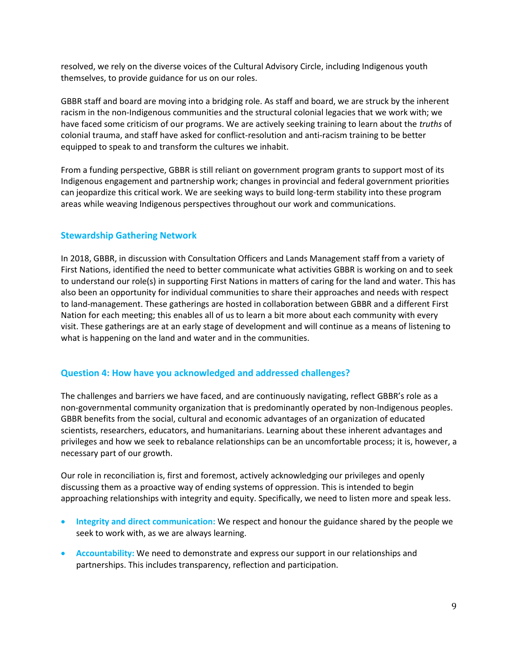resolved, we rely on the diverse voices of the Cultural Advisory Circle, including Indigenous youth themselves, to provide guidance for us on our roles.

GBBR staff and board are moving into a bridging role. As staff and board, we are struck by the inherent racism in the non-Indigenous communities and the structural colonial legacies that we work with; we have faced some criticism of our programs. We are actively seeking training to learn about the *truths* of colonial trauma, and staff have asked for conflict-resolution and anti-racism training to be better equipped to speak to and transform the cultures we inhabit.

From a funding perspective, GBBR is still reliant on government program grants to support most of its Indigenous engagement and partnership work; changes in provincial and federal government priorities can jeopardize this critical work. We are seeking ways to build long-term stability into these program areas while weaving Indigenous perspectives throughout our work and communications.

## **Stewardship Gathering Network**

In 2018, GBBR, in discussion with Consultation Officers and Lands Management staff from a variety of First Nations, identified the need to better communicate what activities GBBR is working on and to seek to understand our role(s) in supporting First Nations in matters of caring for the land and water. This has also been an opportunity for individual communities to share their approaches and needs with respect to land-management. These gatherings are hosted in collaboration between GBBR and a different First Nation for each meeting; this enables all of us to learn a bit more about each community with every visit. These gatherings are at an early stage of development and will continue as a means of listening to what is happening on the land and water and in the communities.

#### **Question 4: How have you acknowledged and addressed challenges?**

The challenges and barriers we have faced, and are continuously navigating, reflect GBBR's role as a non-governmental community organization that is predominantly operated by non-Indigenous peoples. GBBR benefits from the social, cultural and economic advantages of an organization of educated scientists, researchers, educators, and humanitarians. Learning about these inherent advantages and privileges and how we seek to rebalance relationships can be an uncomfortable process; it is, however, a necessary part of our growth.

Our role in reconciliation is, first and foremost, actively acknowledging our privileges and openly discussing them as a proactive way of ending systems of oppression. This is intended to begin approaching relationships with integrity and equity. Specifically, we need to listen more and speak less.

- **Integrity and direct communication:** We respect and honour the guidance shared by the people we seek to work with, as we are always learning.
- **Accountability:** We need to demonstrate and express our support in our relationships and partnerships. This includes transparency, reflection and participation.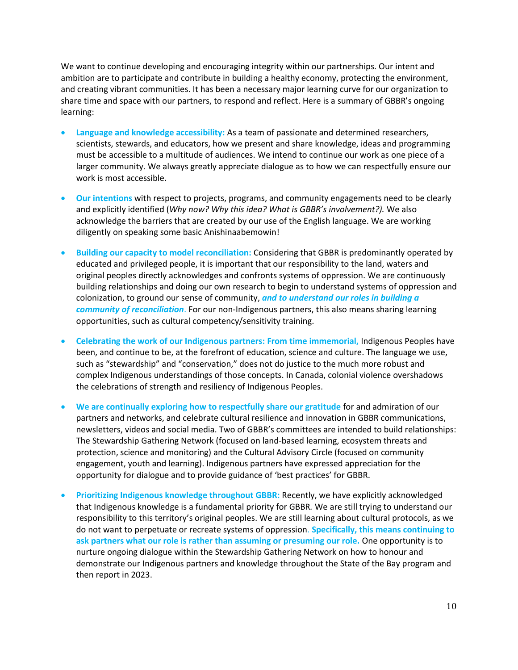We want to continue developing and encouraging integrity within our partnerships. Our intent and ambition are to participate and contribute in building a healthy economy, protecting the environment, and creating vibrant communities. It has been a necessary major learning curve for our organization to share time and space with our partners, to respond and reflect. Here is a summary of GBBR's ongoing learning:

- **Language and knowledge accessibility:** As a team of passionate and determined researchers, scientists, stewards, and educators, how we present and share knowledge, ideas and programming must be accessible to a multitude of audiences. We intend to continue our work as one piece of a larger community. We always greatly appreciate dialogue as to how we can respectfully ensure our work is most accessible.
- **Our intentions** with respect to projects, programs, and community engagements need to be clearly and explicitly identified (*Why now? Why this idea? What is GBBR's involvement?).* We also acknowledge the barriers that are created by our use of the English language. We are working diligently on speaking some basic Anishinaabemowin!
- **Building our capacity to model reconciliation:** Considering that GBBR is predominantly operated by educated and privileged people, it is important that our responsibility to the land, waters and original peoples directly acknowledges and confronts systems of oppression. We are continuously building relationships and doing our own research to begin to understand systems of oppression and colonization, to ground our sense of community, *and to understand our roles in building a community of reconciliation*. For our non-Indigenous partners, this also means sharing learning opportunities, such as cultural competency/sensitivity training.
- **Celebrating the work of our Indigenous partners: From time immemorial,** Indigenous Peoples have been, and continue to be, at the forefront of education, science and culture. The language we use, such as "stewardship" and "conservation," does not do justice to the much more robust and complex Indigenous understandings of those concepts. In Canada, colonial violence overshadows the celebrations of strength and resiliency of Indigenous Peoples.
- **We are continually exploring how to respectfully share our gratitude** for and admiration of our partners and networks, and celebrate cultural resilience and innovation in GBBR communications, newsletters, videos and social media. Two of GBBR's committees are intended to build relationships: The Stewardship Gathering Network (focused on land-based learning, ecosystem threats and protection, science and monitoring) and the Cultural Advisory Circle (focused on community engagement, youth and learning). Indigenous partners have expressed appreciation for the opportunity for dialogue and to provide guidance of 'best practices' for GBBR.
- **Prioritizing Indigenous knowledge throughout GBBR:** Recently, we have explicitly acknowledged that Indigenous knowledge is a fundamental priority for GBBR*.* We are still trying to understand our responsibility to this territory's original peoples. We are still learning about cultural protocols, as we do not want to perpetuate or recreate systems of oppression. **Specifically, this means continuing to ask partners what our role is rather than assuming or presuming our role.** One opportunity is to nurture ongoing dialogue within the Stewardship Gathering Network on how to honour and demonstrate our Indigenous partners and knowledge throughout the State of the Bay program and then report in 2023.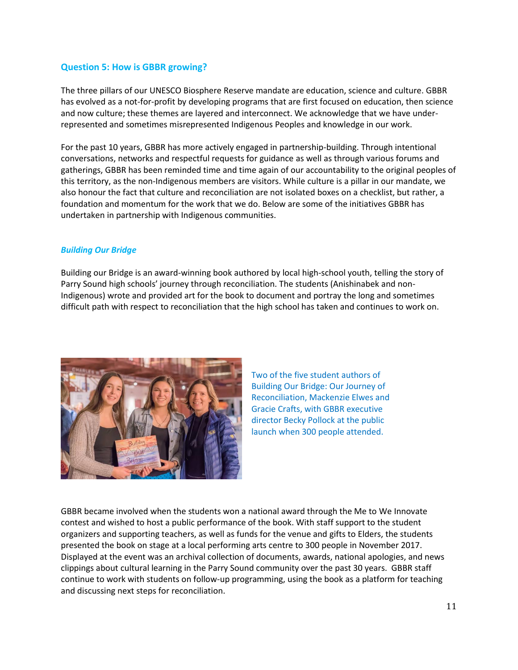#### **Question 5: How is GBBR growing?**

The three pillars of our UNESCO Biosphere Reserve mandate are education, science and culture. GBBR has evolved as a not-for-profit by developing programs that are first focused on education, then science and now culture; these themes are layered and interconnect. We acknowledge that we have underrepresented and sometimes misrepresented Indigenous Peoples and knowledge in our work.

For the past 10 years, GBBR has more actively engaged in partnership-building. Through intentional conversations, networks and respectful requests for guidance as well as through various forums and gatherings, GBBR has been reminded time and time again of our accountability to the original peoples of this territory, as the non-Indigenous members are visitors. While culture is a pillar in our mandate, we also honour the fact that culture and reconciliation are not isolated boxes on a checklist, but rather, a foundation and momentum for the work that we do. Below are some of the initiatives GBBR has undertaken in partnership with Indigenous communities.

#### *Building Our Bridge*

Building our Bridge is an award-winning book authored by local high-school youth, telling the story of Parry Sound high schools' journey through reconciliation. The students (Anishinabek and non-Indigenous) wrote and provided art for the book to document and portray the long and sometimes difficult path with respect to reconciliation that the high school has taken and continues to work on.



Two of the five student authors of Building Our Bridge: Our Journey of Reconciliation, Mackenzie Elwes and Gracie Crafts, with GBBR executive director Becky Pollock at the public launch when 300 people attended.

GBBR became involved when the students won a national award through the Me to We Innovate contest and wished to host a public performance of the book. With staff support to the student organizers and supporting teachers, as well as funds for the venue and gifts to Elders, the students presented the book on stage at a local performing arts centre to 300 people in November 2017. Displayed at the event was an archival collection of documents, awards, national apologies, and news clippings about cultural learning in the Parry Sound community over the past 30 years. GBBR staff continue to work with students on follow-up programming, using the book as a platform for teaching and discussing next steps for reconciliation.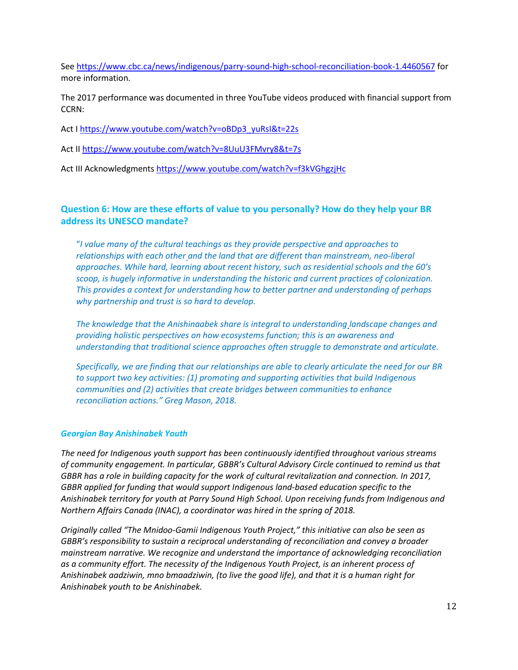Se[e https://www.cbc.ca/news/indigenous/parry-sound-high-school-reconciliation-book-1.4460567](https://www.cbc.ca/news/indigenous/parry-sound-high-school-reconciliation-book-1.4460567) for more information.

The 2017 performance was documented in three YouTube videos produced with financial support from CCRN:

Act [I https://www.youtube.com/watch?v=oBDp3\\_yuRsI&t=22s](https://www.youtube.com/watch?v=oBDp3_yuRsI&t=22s)

Act II<https://www.youtube.com/watch?v=8UuU3FMvry8&t=7s>

Act III Acknowledgments<https://www.youtube.com/watch?v=f3kVGhgzjHc>

### **Question 6: How are these efforts of value to you personally? How do they help your BR address its UNESCO mandate?**

"*I value many of the cultural teachings as they provide perspective and approaches to relationships with each other and the land that are different than mainstream, neo-liberal approaches. While hard, learning about recent history, such as residential schools and the 60's scoop, is hugely informative in understanding the historic and current practices of colonization. This provides a context for understanding how to better partner and understanding of perhaps why partnership and trust is so hard to develop.*

*The knowledge that the Anishinaabek share is integral to understanding landscape changes and providing holistic perspectives on how ecosystems function; this is an awareness and understanding that traditional science approaches often struggle to demonstrate and articulate.*

*Specifically, we are finding that our relationships are able to clearly articulate the need for our BR to support two key activities: (1) promoting and supporting activities that build Indigenous communities and (2) activities that create bridges between communities to enhance reconciliation actions." Greg Mason, 2018.*

#### *Georgian Bay Anishinabek Youth*

*The need for Indigenous youth support has been continuously identified throughout various streams of community engagement. In particular, GBBR's Cultural Advisory Circle continued to remind us that GBBR has a role in building capacity for the work of cultural revitalization and connection. In 2017, GBBR applied for funding that would support Indigenous land-based education specific to the Anishinabek territory for youth at Parry Sound High School. Upon receiving funds from Indigenous and Northern Affairs Canada (INAC), a coordinator was hired in the spring of 2018.* 

*Originally called "The Mnidoo-Gamii Indigenous Youth Project," this initiative can also be seen as GBBR's responsibility to sustain a reciprocal understanding of reconciliation and convey a broader mainstream narrative. We recognize and understand the importance of acknowledging reconciliation as a community effort. The necessity of the Indigenous Youth Project, is an inherent process of Anishinabek aadziwin, mno bmaadziwin, (to live the good life), and that it is a human right for Anishinabek youth to be Anishinabek.*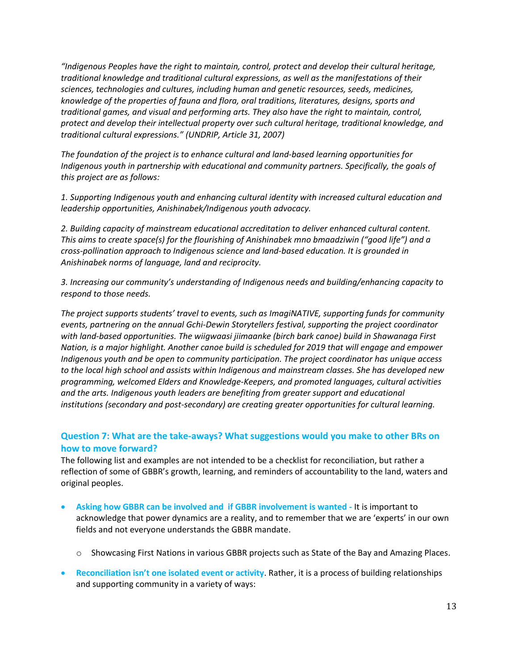*"Indigenous Peoples have the right to maintain, control, protect and develop their cultural heritage, traditional knowledge and traditional cultural expressions, as well as the manifestations of their sciences, technologies and cultures, including human and genetic resources, seeds, medicines, knowledge of the properties of fauna and flora, oral traditions, literatures, designs, sports and traditional games, and visual and performing arts. They also have the right to maintain, control, protect and develop their intellectual property over such cultural heritage, traditional knowledge, and traditional cultural expressions." (UNDRIP, Article 31, 2007)*

*The foundation of the project is to enhance cultural and land-based learning opportunities for Indigenous youth in partnership with educational and community partners. Specifically, the goals of this project are as follows:* 

*1. Supporting Indigenous youth and enhancing cultural identity with increased cultural education and leadership opportunities, Anishinabek/Indigenous youth advocacy.*

*2. Building capacity of mainstream educational accreditation to deliver enhanced cultural content. This aims to create space(s) for the flourishing of Anishinabek mno bmaadziwin ("good life") and a cross-pollination approach to Indigenous science and land-based education. It is grounded in Anishinabek norms of language, land and reciprocity.* 

*3. Increasing our community's understanding of Indigenous needs and building/enhancing capacity to respond to those needs.*

*The project supports students' travel to events, such as ImagiNATIVE, supporting funds for community events, partnering on the annual Gchi-Dewin Storytellers festival, supporting the project coordinator with land-based opportunities. The wiigwaasi jiimaanke (birch bark canoe) build in Shawanaga First Nation, is a major highlight. Another canoe build is scheduled for 2019 that will engage and empower Indigenous youth and be open to community participation. The project coordinator has unique access to the local high school and assists within Indigenous and mainstream classes. She has developed new programming, welcomed Elders and Knowledge-Keepers, and promoted languages, cultural activities and the arts. Indigenous youth leaders are benefiting from greater support and educational institutions (secondary and post-secondary) are creating greater opportunities for cultural learning.* 

#### **Question 7: What are the take-aways? What suggestions would you make to other BRs on how to move forward?**

The following list and examples are not intended to be a checklist for reconciliation, but rather a reflection of some of GBBR's growth, learning, and reminders of accountability to the land, waters and original peoples.

- **Asking how GBBR can be involved and if GBBR involvement is wanted -** It is important to acknowledge that power dynamics are a reality, and to remember that we are 'experts' in our own fields and not everyone understands the GBBR mandate.
	- o Showcasing First Nations in various GBBR projects such as State of the Bay and Amazing Places.
- **Reconciliation isn't one isolated event or activity**. Rather, it is a process of building relationships and supporting community in a variety of ways: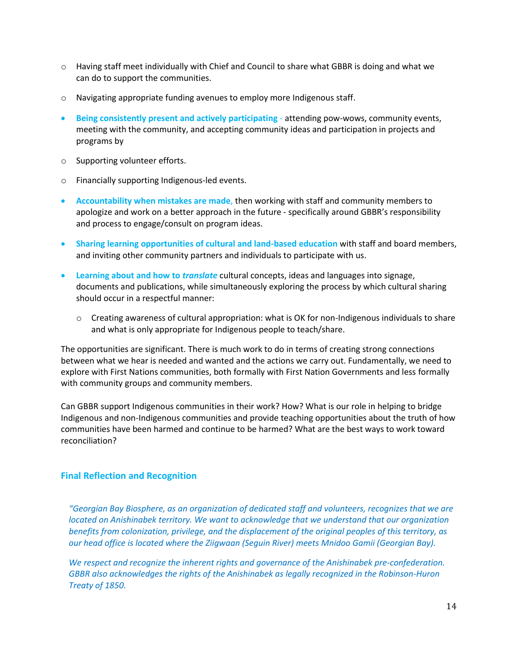- $\circ$  Having staff meet individually with Chief and Council to share what GBBR is doing and what we can do to support the communities.
- o Navigating appropriate funding avenues to employ more Indigenous staff.
- **Being consistently present and actively participating** attending pow-wows, community events, meeting with the community, and accepting community ideas and participation in projects and programs by
- o Supporting volunteer efforts.
- o Financially supporting Indigenous-led events.
- **Accountability when mistakes are made**, then working with staff and community members to apologize and work on a better approach in the future - specifically around GBBR's responsibility and process to engage/consult on program ideas.
- **Sharing learning opportunities of cultural and land-based education** with staff and board members, and inviting other community partners and individuals to participate with us.
- **Learning about and how to** *translate* cultural concepts, ideas and languages into signage, documents and publications, while simultaneously exploring the process by which cultural sharing should occur in a respectful manner:
	- $\circ$  Creating awareness of cultural appropriation: what is OK for non-Indigenous individuals to share and what is only appropriate for Indigenous people to teach/share.

The opportunities are significant. There is much work to do in terms of creating strong connections between what we hear is needed and wanted and the actions we carry out. Fundamentally, we need to explore with First Nations communities, both formally with First Nation Governments and less formally with community groups and community members.

Can GBBR support Indigenous communities in their work? How? What is our role in helping to bridge Indigenous and non-Indigenous communities and provide teaching opportunities about the truth of how communities have been harmed and continue to be harmed? What are the best ways to work toward reconciliation?

#### **Final Reflection and Recognition**

*"Georgian Bay Biosphere, as an organization of dedicated staff and volunteers, recognizes that we are located on Anishinabek territory. We want to acknowledge that we understand that our organization benefits from colonization, privilege, and the displacement of the original peoples of this territory, as our head office is located where the Ziigwaan (Seguin River) meets Mnidoo Gamii (Georgian Bay).* 

*We respect and recognize the inherent rights and governance of the Anishinabek pre-confederation. GBBR also acknowledges the rights of the Anishinabek as legally recognized in the Robinson-Huron Treaty of 1850.*